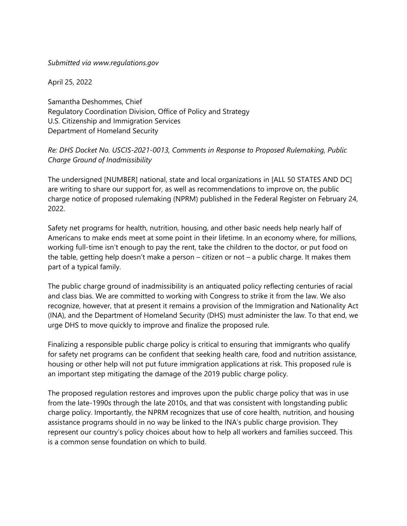## *Submitted via www.regulations.gov*

April 25, 2022

Samantha Deshommes, Chief Regulatory Coordination Division, Office of Policy and Strategy U.S. Citizenship and Immigration Services Department of Homeland Security

## *Re: DHS Docket No. USCIS-2021-0013, Comments in Response to Proposed Rulemaking, Public Charge Ground of Inadmissibility*

The undersigned [NUMBER] national, state and local organizations in [ALL 50 STATES AND DC] are writing to share our support for, as well as recommendations to improve on, the public charge notice of proposed rulemaking (NPRM) published in the Federal Register on February 24, 2022.

Safety net programs for health, nutrition, housing, and other basic needs help nearly half of Americans to make ends meet at some point in their lifetime. In an economy where, for millions, working full-time isn't enough to pay the rent, take the children to the doctor, or put food on the table, getting help doesn't make a person – citizen or not – a public charge. It makes them part of a typical family.

The public charge ground of inadmissibility is an antiquated policy reflecting centuries of racial and class bias. We are committed to working with Congress to strike it from the law. We also recognize, however, that at present it remains a provision of the Immigration and Nationality Act (INA), and the Department of Homeland Security (DHS) must administer the law. To that end, we urge DHS to move quickly to improve and finalize the proposed rule.

Finalizing a responsible public charge policy is critical to ensuring that immigrants who qualify for safety net programs can be confident that seeking health care, food and nutrition assistance, housing or other help will not put future immigration applications at risk. This proposed rule is an important step mitigating the damage of the 2019 public charge policy.

The proposed regulation restores and improves upon the public charge policy that was in use from the late-1990s through the late 2010s, and that was consistent with longstanding public charge policy. Importantly, the NPRM recognizes that use of core health, nutrition, and housing assistance programs should in no way be linked to the INA's public charge provision. They represent our country's policy choices about how to help all workers and families succeed. This is a common sense foundation on which to build.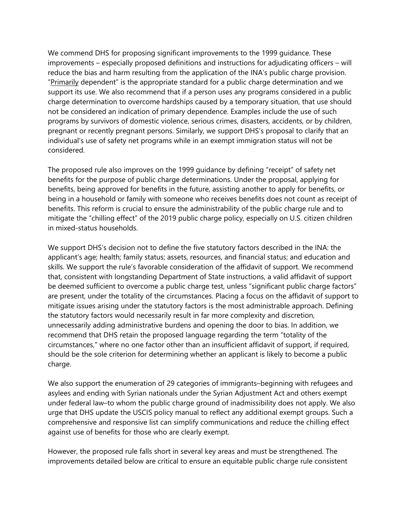We commend DHS for proposing significant improvements to the 1999 guidance. These improvements – especially proposed definitions and instructions for adjudicating officers – will reduce the bias and harm resulting from the application of the INA's public charge provision. "Primarily dependent" is the appropriate standard for a public charge determination and we support its use. We also recommend that if a person uses any programs considered in a public charge determination to overcome hardships caused by a temporary situation, that use should not be considered an indication of primary dependence. Examples include the use of such programs by survivors of domestic violence, serious crimes, disasters, accidents, or by children, pregnant or recently pregnant persons. Similarly, we support DHS's proposal to clarify that an individual's use of safety net programs while in an exempt immigration status will not be considered.

The proposed rule also improves on the 1999 guidance by defining "receipt" of safety net benefits for the purpose of public charge determinations. Under the proposal, applying for benefits, being approved for benefits in the future, assisting another to apply for benefits, or being in a household or family with someone who receives benefits does not count as receipt of benefits. This reform is crucial to ensure the administrability of the public charge rule and to mitigate the "chilling effect" of the 2019 public charge policy, especially on U.S. citizen children in mixed-status households.

We support DHS's decision not to define the five statutory factors described in the INA: the applicant's age; health; family status; assets, resources, and financial status; and education and skills. We support the rule's favorable consideration of the affidavit of support. We recommend that, consistent with longstanding Department of State instructions, a valid affidavit of support be deemed sufficient to overcome a public charge test, unless "significant public charge factors" are present, under the totality of the circumstances. Placing a focus on the affidavit of support to mitigate issues arising under the statutory factors is the most administrable approach. Defining the statutory factors would necessarily result in far more complexity and discretion, unnecessarily adding administrative burdens and opening the door to bias. In addition, we recommend that DHS retain the proposed language regarding the term "totality of the circumstances," where no one factor other than an insufficient affidavit of support, if required, should be the sole criterion for determining whether an applicant is likely to become a public charge.

We also support the enumeration of 29 categories of immigrants–beginning with refugees and asylees and ending with Syrian nationals under the Syrian Adjustment Act and others exempt under federal law–to whom the public charge ground of inadmissibility does not apply. We also urge that DHS update the USCIS policy manual to reflect any additional exempt groups. Such a comprehensive and responsive list can simplify communications and reduce the chilling effect against use of benefits for those who are clearly exempt.

However, the proposed rule falls short in several key areas and must be strengthened. The improvements detailed below are critical to ensure an equitable public charge rule consistent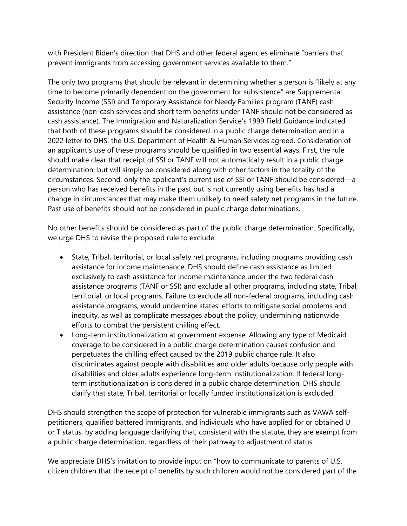with President Biden's direction that DHS and other federal agencies eliminate "barriers that prevent immigrants from accessing government services available to them."

The only two programs that should be relevant in determining whether a person is "likely at any time to become primarily dependent on the government for subsistence" are Supplemental Security Income (SSI) and Temporary Assistance for Needy Families program (TANF) cash assistance (non-cash services and short term benefits under TANF should not be considered as cash assistance). The Immigration and Naturalization Service's 1999 Field Guidance indicated that both of these programs should be considered in a public charge determination and in a 2022 letter to DHS, the U.S. Department of Health & Human Services agreed. Consideration of an applicant's use of these programs should be qualified in two essential ways. First, the rule should make clear that receipt of SSI or TANF will not automatically result in a public charge determination, but will simply be considered along with other factors in the totality of the circumstances. Second, only the applicant's current use of SSI or TANF should be considered—a person who has received benefits in the past but is not currently using benefits has had a change in circumstances that may make them unlikely to need safety net programs in the future. Past use of benefits should not be considered in public charge determinations.

No other benefits should be considered as part of the public charge determination. Specifically, we urge DHS to revise the proposed rule to exclude:

- State, Tribal, territorial, or local safety net programs, including programs providing cash assistance for income maintenance. DHS should define cash assistance as limited exclusively to cash assistance for income maintenance under the two federal cash assistance programs (TANF or SSI) and exclude all other programs, including state, Tribal, territorial, or local programs. Failure to exclude all non-federal programs, including cash assistance programs, would undermine states' efforts to mitigate social problems and inequity, as well as complicate messages about the policy, undermining nationwide efforts to combat the persistent chilling effect.
- Long-term institutionalization at government expense. Allowing any type of Medicaid coverage to be considered in a public charge determination causes confusion and perpetuates the chilling effect caused by the 2019 public charge rule. It also discriminates against people with disabilities and older adults because only people with disabilities and older adults experience long-term institutionalization. If federal longterm institutionalization is considered in a public charge determination, DHS should clarify that state, Tribal, territorial or locally funded institutionalization is excluded.

DHS should strengthen the scope of protection for vulnerable immigrants such as VAWA selfpetitioners, qualified battered immigrants, and individuals who have applied for or obtained U or T status, by adding language clarifying that, consistent with the statute, they are exempt from a public charge determination, regardless of their pathway to adjustment of status.

We appreciate DHS's invitation to provide input on "how to communicate to parents of U.S. citizen children that the receipt of benefits by such children would not be considered part of the